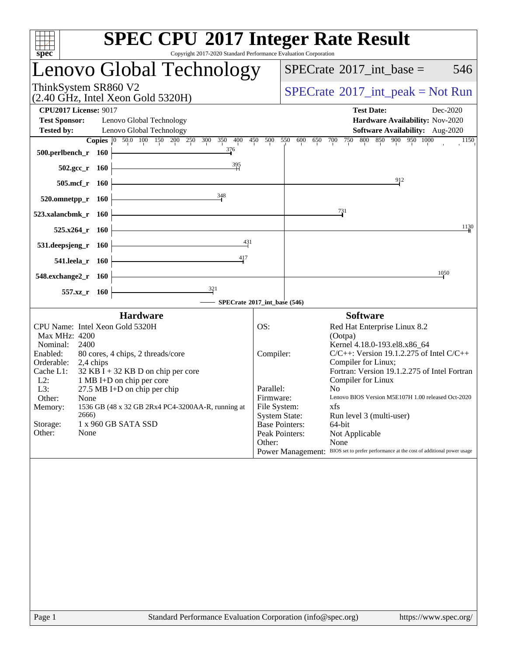| <b>SPEC CPU®2017 Integer Rate Result</b>                                                                                                     |                       |                                                                                        |  |  |  |  |  |  |  |
|----------------------------------------------------------------------------------------------------------------------------------------------|-----------------------|----------------------------------------------------------------------------------------|--|--|--|--|--|--|--|
| spec<br>Copyright 2017-2020 Standard Performance Evaluation Corporation                                                                      |                       |                                                                                        |  |  |  |  |  |  |  |
| Lenovo Global Technology                                                                                                                     |                       | $SPECrate^{\circ}2017\_int\_base =$<br>546                                             |  |  |  |  |  |  |  |
| ThinkSystem SR860 V2<br>$(2.40 \text{ GHz}, \text{Intel Xeon Gold } 5320\text{H})$                                                           |                       | $SPECrate^{\circledcirc}2017\_int\_peak = Not Run$                                     |  |  |  |  |  |  |  |
| <b>CPU2017 License: 9017</b>                                                                                                                 |                       | <b>Test Date:</b><br>Dec-2020                                                          |  |  |  |  |  |  |  |
| <b>Test Sponsor:</b><br>Lenovo Global Technology                                                                                             |                       | Hardware Availability: Nov-2020                                                        |  |  |  |  |  |  |  |
| <b>Tested by:</b><br>Lenovo Global Technology                                                                                                |                       | Software Availability: Aug-2020                                                        |  |  |  |  |  |  |  |
| Copies 0 50.0 100 150 200 250 300 350 400 450 500 550 600 650 700 750 800 850 900 950 1000                                                   |                       | 1150                                                                                   |  |  |  |  |  |  |  |
| 376<br>$500.$ perlbench_r 160                                                                                                                |                       |                                                                                        |  |  |  |  |  |  |  |
| $\begin{array}{c c c c c} \hline & 395 \\ \hline & 1 \end{array}$<br>502.gcc_r 160                                                           |                       |                                                                                        |  |  |  |  |  |  |  |
|                                                                                                                                              |                       | $\frac{912}{2}$                                                                        |  |  |  |  |  |  |  |
| $505.\text{mcf}_r$ 160<br>348                                                                                                                |                       |                                                                                        |  |  |  |  |  |  |  |
| $520.0$ mnetpp_r 160                                                                                                                         |                       |                                                                                        |  |  |  |  |  |  |  |
| 523.xalancbmk_r 160                                                                                                                          |                       | $\frac{731}{4}$                                                                        |  |  |  |  |  |  |  |
| $525.x264$ r 160                                                                                                                             |                       | 1130                                                                                   |  |  |  |  |  |  |  |
| 431<br>531.deepsjeng_r 160                                                                                                                   |                       |                                                                                        |  |  |  |  |  |  |  |
| 417<br><u> 1989 - Johann Barn, mars ann an t-Amhain Aonaich an t-Aonaich an t-Aonaich ann an t-Aonaich ann an t-Aonaich</u>                  |                       |                                                                                        |  |  |  |  |  |  |  |
| 541.leela_r 160                                                                                                                              |                       |                                                                                        |  |  |  |  |  |  |  |
| <u> 1989 - Johann Barn, mars ann an t-Amhain an t-Amhain an t-Amhain an t-Amhain an t-Amhain an t-Amhain an t-Amh</u><br>548.exchange2_r 160 |                       | 1050                                                                                   |  |  |  |  |  |  |  |
| $\frac{321}{ }$<br>557.xz_r 160                                                                                                              |                       |                                                                                        |  |  |  |  |  |  |  |
| SPECrate®2017_int_base (546)                                                                                                                 |                       |                                                                                        |  |  |  |  |  |  |  |
| <b>Hardware</b>                                                                                                                              |                       | <b>Software</b>                                                                        |  |  |  |  |  |  |  |
| CPU Name: Intel Xeon Gold 5320H                                                                                                              | OS:                   | Red Hat Enterprise Linux 8.2                                                           |  |  |  |  |  |  |  |
| Max MHz: 4200                                                                                                                                |                       | (Ootpa)                                                                                |  |  |  |  |  |  |  |
| Nominal:<br>2400<br>Enabled:                                                                                                                 |                       | Kernel 4.18.0-193.el8.x86_64<br>$C/C++$ : Version 19.1.2.275 of Intel $C/C++$          |  |  |  |  |  |  |  |
| 80 cores, 4 chips, 2 threads/core<br>Orderable:<br>2,4 chips                                                                                 | Compiler:             | Compiler for Linux;                                                                    |  |  |  |  |  |  |  |
| $32$ KB I + 32 KB D on chip per core<br>Cache L1:                                                                                            |                       | Fortran: Version 19.1.2.275 of Intel Fortran                                           |  |  |  |  |  |  |  |
| $L2$ :<br>1 MB I+D on chip per core                                                                                                          |                       | Compiler for Linux                                                                     |  |  |  |  |  |  |  |
| $27.5$ MB I+D on chip per chip<br>L3:                                                                                                        | Parallel:             | N <sub>o</sub>                                                                         |  |  |  |  |  |  |  |
| Other:<br>None                                                                                                                               | Firmware:             | Lenovo BIOS Version M5E107H 1.00 released Oct-2020                                     |  |  |  |  |  |  |  |
| 1536 GB (48 x 32 GB 2Rx4 PC4-3200AA-R, running at<br>Memory:                                                                                 | File System:          | xfs                                                                                    |  |  |  |  |  |  |  |
| 2666)                                                                                                                                        | <b>System State:</b>  | Run level 3 (multi-user)                                                               |  |  |  |  |  |  |  |
| 1 x 960 GB SATA SSD<br>Storage:                                                                                                              | <b>Base Pointers:</b> | 64-bit                                                                                 |  |  |  |  |  |  |  |
| Other:<br>None                                                                                                                               | Peak Pointers:        | Not Applicable                                                                         |  |  |  |  |  |  |  |
|                                                                                                                                              | Other:                | None                                                                                   |  |  |  |  |  |  |  |
|                                                                                                                                              |                       | Power Management: BIOS set to prefer performance at the cost of additional power usage |  |  |  |  |  |  |  |
|                                                                                                                                              |                       |                                                                                        |  |  |  |  |  |  |  |
|                                                                                                                                              |                       |                                                                                        |  |  |  |  |  |  |  |
|                                                                                                                                              |                       |                                                                                        |  |  |  |  |  |  |  |
|                                                                                                                                              |                       |                                                                                        |  |  |  |  |  |  |  |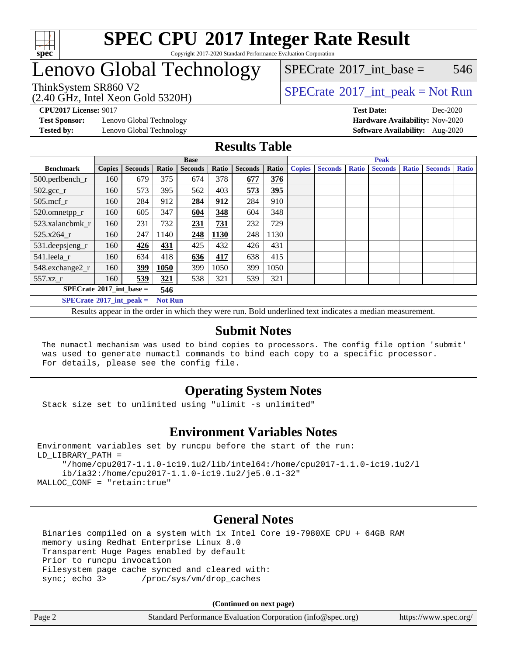

#### **[SPEC CPU](http://www.spec.org/auto/cpu2017/Docs/result-fields.html#SPECCPU2017IntegerRateResult)[2017 Integer Rate Result](http://www.spec.org/auto/cpu2017/Docs/result-fields.html#SPECCPU2017IntegerRateResult)** Copyright 2017-2020 Standard Performance Evaluation Corporation

## Lenovo Global Technology

[SPECrate](http://www.spec.org/auto/cpu2017/Docs/result-fields.html#SPECrate2017intbase)<sup>®</sup>2017 int base =  $546$ 

(2.40 GHz, Intel Xeon Gold 5320H)

ThinkSystem SR860 V2<br>  $\begin{array}{c} \text{SPECrate} \textcirc 2017\_int\_peak = Not Run \end{array}$  $\begin{array}{c} \text{SPECrate} \textcirc 2017\_int\_peak = Not Run \end{array}$  $\begin{array}{c} \text{SPECrate} \textcirc 2017\_int\_peak = Not Run \end{array}$ 

**[Test Sponsor:](http://www.spec.org/auto/cpu2017/Docs/result-fields.html#TestSponsor)** Lenovo Global Technology **[Hardware Availability:](http://www.spec.org/auto/cpu2017/Docs/result-fields.html#HardwareAvailability)** Nov-2020

**[CPU2017 License:](http://www.spec.org/auto/cpu2017/Docs/result-fields.html#CPU2017License)** 9017 **[Test Date:](http://www.spec.org/auto/cpu2017/Docs/result-fields.html#TestDate)** Dec-2020 **[Tested by:](http://www.spec.org/auto/cpu2017/Docs/result-fields.html#Testedby)** Lenovo Global Technology **[Software Availability:](http://www.spec.org/auto/cpu2017/Docs/result-fields.html#SoftwareAvailability)** Aug-2020

### **[Results Table](http://www.spec.org/auto/cpu2017/Docs/result-fields.html#ResultsTable)**

|                                   | <b>Base</b>    |                |       |                |       |                |       | <b>Peak</b>   |                |              |                |              |                |              |  |
|-----------------------------------|----------------|----------------|-------|----------------|-------|----------------|-------|---------------|----------------|--------------|----------------|--------------|----------------|--------------|--|
| <b>Benchmark</b>                  | <b>Copies</b>  | <b>Seconds</b> | Ratio | <b>Seconds</b> | Ratio | <b>Seconds</b> | Ratio | <b>Copies</b> | <b>Seconds</b> | <b>Ratio</b> | <b>Seconds</b> | <b>Ratio</b> | <b>Seconds</b> | <b>Ratio</b> |  |
| 500.perlbench_r                   | 160            | 679            | 375   | 674            | 378   | 677            | 376   |               |                |              |                |              |                |              |  |
| $502.\text{gcc\_r}$               | 160            | 573            | 395   | 562            | 403   | 573            | 395   |               |                |              |                |              |                |              |  |
| $505$ .mcf r                      | 160            | 284            | 912   | 284            | 912   | 284            | 910   |               |                |              |                |              |                |              |  |
| 520.omnetpp_r                     | 160            | 605            | 347   | 604            | 348   | 604            | 348   |               |                |              |                |              |                |              |  |
| 523.xalancbmk r                   | 160            | 231            | 732   | 231            | 731   | 232            | 729   |               |                |              |                |              |                |              |  |
| $525.x264$ r                      | 160            | 247            | 1140  | 248            | 1130  | 248            | 1130  |               |                |              |                |              |                |              |  |
| 531.deepsjeng_r                   | 160            | 426            | 431   | 425            | 432   | 426            | 431   |               |                |              |                |              |                |              |  |
| 541.leela r                       | 160            | 634            | 418   | 636            | 417   | 638            | 415   |               |                |              |                |              |                |              |  |
| 548.exchange2_r                   | 160            | 399            | 1050  | 399            | 1050  | 399            | 1050  |               |                |              |                |              |                |              |  |
| 557.xz r                          | 160            | 539            | 321   | 538            | 321   | 539            | 321   |               |                |              |                |              |                |              |  |
| $SPECrate^{\circ}2017$ int base = | 546            |                |       |                |       |                |       |               |                |              |                |              |                |              |  |
| $SPECrate^{\circ}2017$ int peak = | <b>Not Run</b> |                |       |                |       |                |       |               |                |              |                |              |                |              |  |

Results appear in the [order in which they were run](http://www.spec.org/auto/cpu2017/Docs/result-fields.html#RunOrder). Bold underlined text [indicates a median measurement](http://www.spec.org/auto/cpu2017/Docs/result-fields.html#Median).

### **[Submit Notes](http://www.spec.org/auto/cpu2017/Docs/result-fields.html#SubmitNotes)**

 The numactl mechanism was used to bind copies to processors. The config file option 'submit' was used to generate numactl commands to bind each copy to a specific processor. For details, please see the config file.

### **[Operating System Notes](http://www.spec.org/auto/cpu2017/Docs/result-fields.html#OperatingSystemNotes)**

Stack size set to unlimited using "ulimit -s unlimited"

### **[Environment Variables Notes](http://www.spec.org/auto/cpu2017/Docs/result-fields.html#EnvironmentVariablesNotes)**

```
Environment variables set by runcpu before the start of the run:
LD_LIBRARY_PATH =
      "/home/cpu2017-1.1.0-ic19.1u2/lib/intel64:/home/cpu2017-1.1.0-ic19.1u2/l
      ib/ia32:/home/cpu2017-1.1.0-ic19.1u2/je5.0.1-32"
MALLOC_CONF = "retain:true"
```
### **[General Notes](http://www.spec.org/auto/cpu2017/Docs/result-fields.html#GeneralNotes)**

 Binaries compiled on a system with 1x Intel Core i9-7980XE CPU + 64GB RAM memory using Redhat Enterprise Linux 8.0 Transparent Huge Pages enabled by default Prior to runcpu invocation Filesystem page cache synced and cleared with: sync; echo 3> /proc/sys/vm/drop\_caches

**(Continued on next page)**

| Page 2 | Standard Performance Evaluation Corporation (info@spec.org) | https://www.spec.org/ |
|--------|-------------------------------------------------------------|-----------------------|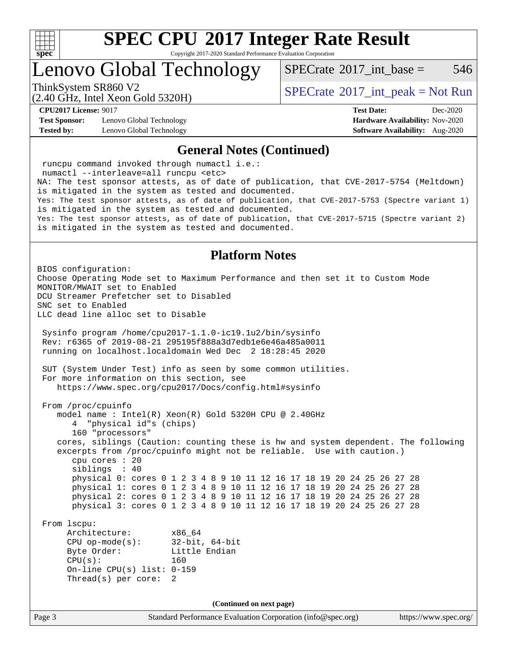

Copyright 2017-2020 Standard Performance Evaluation Corporation

Lenovo Global Technology

 $SPECTate^{\circ}2017$  int base = 546

(2.40 GHz, Intel Xeon Gold 5320H)

ThinkSystem SR860 V2<br>  $\begin{array}{c} \text{SPECrate} \textcirc 2017\_int\_peak = Not Run \end{array}$  $\begin{array}{c} \text{SPECrate} \textcirc 2017\_int\_peak = Not Run \end{array}$  $\begin{array}{c} \text{SPECrate} \textcirc 2017\_int\_peak = Not Run \end{array}$ 

**[Test Sponsor:](http://www.spec.org/auto/cpu2017/Docs/result-fields.html#TestSponsor)** Lenovo Global Technology **[Hardware Availability:](http://www.spec.org/auto/cpu2017/Docs/result-fields.html#HardwareAvailability)** Nov-2020 **[Tested by:](http://www.spec.org/auto/cpu2017/Docs/result-fields.html#Testedby)** Lenovo Global Technology **[Software Availability:](http://www.spec.org/auto/cpu2017/Docs/result-fields.html#SoftwareAvailability)** Aug-2020

**[CPU2017 License:](http://www.spec.org/auto/cpu2017/Docs/result-fields.html#CPU2017License)** 9017 **[Test Date:](http://www.spec.org/auto/cpu2017/Docs/result-fields.html#TestDate)** Dec-2020

#### **[General Notes \(Continued\)](http://www.spec.org/auto/cpu2017/Docs/result-fields.html#GeneralNotes)**

Page 3 Standard Performance Evaluation Corporation [\(info@spec.org\)](mailto:info@spec.org) <https://www.spec.org/> runcpu command invoked through numactl i.e.: numactl --interleave=all runcpu <etc> NA: The test sponsor attests, as of date of publication, that CVE-2017-5754 (Meltdown) is mitigated in the system as tested and documented. Yes: The test sponsor attests, as of date of publication, that CVE-2017-5753 (Spectre variant 1) is mitigated in the system as tested and documented. Yes: The test sponsor attests, as of date of publication, that CVE-2017-5715 (Spectre variant 2) is mitigated in the system as tested and documented. **[Platform Notes](http://www.spec.org/auto/cpu2017/Docs/result-fields.html#PlatformNotes)** BIOS configuration: Choose Operating Mode set to Maximum Performance and then set it to Custom Mode MONITOR/MWAIT set to Enabled DCU Streamer Prefetcher set to Disabled SNC set to Enabled LLC dead line alloc set to Disable Sysinfo program /home/cpu2017-1.1.0-ic19.1u2/bin/sysinfo Rev: r6365 of 2019-08-21 295195f888a3d7edb1e6e46a485a0011 running on localhost.localdomain Wed Dec 2 18:28:45 2020 SUT (System Under Test) info as seen by some common utilities. For more information on this section, see <https://www.spec.org/cpu2017/Docs/config.html#sysinfo> From /proc/cpuinfo model name : Intel(R) Xeon(R) Gold 5320H CPU @ 2.40GHz 4 "physical id"s (chips) 160 "processors" cores, siblings (Caution: counting these is hw and system dependent. The following excerpts from /proc/cpuinfo might not be reliable. Use with caution.) cpu cores : 20 siblings : 40 physical 0: cores 0 1 2 3 4 8 9 10 11 12 16 17 18 19 20 24 25 26 27 28 physical 1: cores 0 1 2 3 4 8 9 10 11 12 16 17 18 19 20 24 25 26 27 28 physical 2: cores 0 1 2 3 4 8 9 10 11 12 16 17 18 19 20 24 25 26 27 28 physical 3: cores 0 1 2 3 4 8 9 10 11 12 16 17 18 19 20 24 25 26 27 28 From lscpu: Architecture: x86\_64 CPU op-mode(s): 32-bit, 64-bit Byte Order: Little Endian CPU(s): 160 On-line CPU(s) list: 0-159 Thread(s) per core: 2 **(Continued on next page)**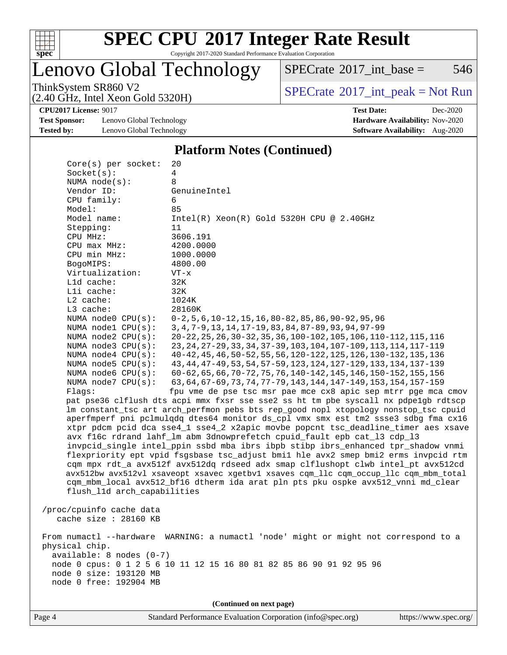

Copyright 2017-2020 Standard Performance Evaluation Corporation

## Lenovo Global Technology

 $SPECTate$ <sup>®</sup>[2017\\_int\\_base =](http://www.spec.org/auto/cpu2017/Docs/result-fields.html#SPECrate2017intbase) 546

(2.40 GHz, Intel Xeon Gold 5320H)

ThinkSystem SR860 V2<br>  $(2.40 \text{ GHz})$  Intel Xeon Gold 5320H)

**[CPU2017 License:](http://www.spec.org/auto/cpu2017/Docs/result-fields.html#CPU2017License)** 9017 **[Test Date:](http://www.spec.org/auto/cpu2017/Docs/result-fields.html#TestDate)** Dec-2020

[Test Sponsor:](http://www.spec.org/auto/cpu2017/Docs/result-fields.html#TestSponsor) Lenovo Global Technology **[Hardware Availability:](http://www.spec.org/auto/cpu2017/Docs/result-fields.html#HardwareAvailability)** Nov-2020 **[Tested by:](http://www.spec.org/auto/cpu2017/Docs/result-fields.html#Testedby)** Lenovo Global Technology **[Software Availability:](http://www.spec.org/auto/cpu2017/Docs/result-fields.html#SoftwareAvailability)** Aug-2020

**[Platform Notes \(Continued\)](http://www.spec.org/auto/cpu2017/Docs/result-fields.html#PlatformNotes)**

| Core(s) per socket:<br>Socket(s):          | 20<br>4                                                                              |
|--------------------------------------------|--------------------------------------------------------------------------------------|
|                                            |                                                                                      |
| NUMA node(s):                              | 8                                                                                    |
| Vendor ID:                                 | GenuineIntel<br>6                                                                    |
| CPU family:                                |                                                                                      |
| Model:<br>Model name:                      | 85                                                                                   |
|                                            | $Intel(R) Xeon(R) Gold 5320H CPU @ 2.40GHz$<br>11                                    |
| Stepping:                                  |                                                                                      |
| CPU MHz:                                   | 3606.191<br>4200.0000                                                                |
| CPU max MHz:                               |                                                                                      |
| CPU min MHz:                               | 1000.0000<br>4800.00                                                                 |
| BogoMIPS:<br>Virtualization:               |                                                                                      |
|                                            | $VT - x$                                                                             |
| L1d cache:                                 | 32K                                                                                  |
| Lli cache:                                 | 32K                                                                                  |
| L2 cache:                                  | 1024K                                                                                |
| L3 cache:                                  | 28160K                                                                               |
| NUMA node0 CPU(s):                         | $0-2, 5, 6, 10-12, 15, 16, 80-82, 85, 86, 90-92, 95, 96$                             |
| NUMA nodel CPU(s):                         | 3, 4, 7-9, 13, 14, 17-19, 83, 84, 87-89, 93, 94, 97-99                               |
| NUMA $node2$ $CPU(s):$                     | 20-22, 25, 26, 30-32, 35, 36, 100-102, 105, 106, 110-112, 115, 116                   |
| NUMA node3 CPU(s):                         | 23, 24, 27-29, 33, 34, 37-39, 103, 104, 107-109, 113, 114, 117-119                   |
| NUMA $node4$ $CPU(s):$                     | 40-42, 45, 46, 50-52, 55, 56, 120-122, 125, 126, 130-132, 135, 136                   |
| NUMA node5 CPU(s):                         | 43, 44, 47-49, 53, 54, 57-59, 123, 124, 127-129, 133, 134, 137-139                   |
| NUMA node6 CPU(s):                         | 60-62, 65, 66, 70-72, 75, 76, 140-142, 145, 146, 150-152, 155, 156                   |
| NUMA node7 CPU(s):                         | 63, 64, 67-69, 73, 74, 77-79, 143, 144, 147-149, 153, 154, 157-159                   |
| Flaqs:                                     | fpu vme de pse tsc msr pae mce cx8 apic sep mtrr pge mca cmov                        |
|                                            | pat pse36 clflush dts acpi mmx fxsr sse sse2 ss ht tm pbe syscall nx pdpe1gb rdtscp  |
|                                            | lm constant_tsc art arch_perfmon pebs bts rep_good nopl xtopology nonstop_tsc cpuid  |
|                                            | aperfmperf pni pclmulqdq dtes64 monitor ds_cpl vmx smx est tm2 ssse3 sdbg fma cx16   |
|                                            | xtpr pdcm pcid dca sse4_1 sse4_2 x2apic movbe popcnt tsc_deadline_timer aes xsave    |
|                                            | avx f16c rdrand lahf_lm abm 3dnowprefetch cpuid_fault epb cat_13 cdp_13              |
|                                            | invpcid_single intel_ppin ssbd mba ibrs ibpb stibp ibrs_enhanced tpr_shadow vnmi     |
|                                            | flexpriority ept vpid fsgsbase tsc_adjust bmil hle avx2 smep bmi2 erms invpcid rtm   |
|                                            | cqm mpx rdt_a avx512f avx512dq rdseed adx smap clflushopt clwb intel_pt avx512cd     |
|                                            | avx512bw avx512vl xsaveopt xsavec xgetbvl xsaves cqm_llc cqm_occup_llc cqm_mbm_total |
|                                            | cqm_mbm_local avx512_bf16 dtherm ida arat pln pts pku ospke avx512_vnni md_clear     |
| flush_l1d arch_capabilities                |                                                                                      |
|                                            |                                                                                      |
| /proc/cpuinfo cache data                   |                                                                                      |
| cache size : 28160 KB                      |                                                                                      |
|                                            |                                                                                      |
|                                            | From numactl --hardware WARNING: a numactl 'node' might or might not correspond to a |
| physical chip.<br>available: 8 nodes (0-7) |                                                                                      |
|                                            | node 0 cpus: 0 1 2 5 6 10 11 12 15 16 80 81 82 85 86 90 91 92 95 96                  |
| node 0 size: 193120 MB                     |                                                                                      |
| node 0 free: 192904 MB                     |                                                                                      |
|                                            |                                                                                      |
|                                            |                                                                                      |
|                                            | (Continued on next page)                                                             |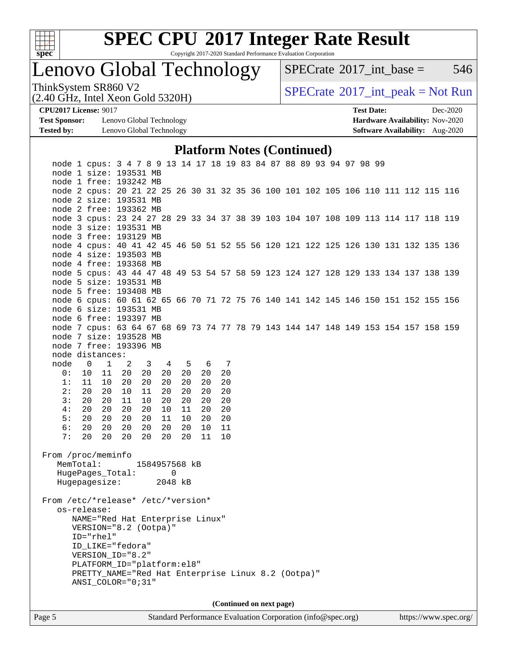

Copyright 2017-2020 Standard Performance Evaluation Corporation

Lenovo Global Technology

 $SPECTate$ <sup>®</sup>[2017\\_int\\_base =](http://www.spec.org/auto/cpu2017/Docs/result-fields.html#SPECrate2017intbase) 546

(2.40 GHz, Intel Xeon Gold 5320H)

ThinkSystem SR860 V2<br>  $(2.40 \text{ GHz. Intel } Y_{\text{QCD}}$  Gold 5320H)

**[CPU2017 License:](http://www.spec.org/auto/cpu2017/Docs/result-fields.html#CPU2017License)** 9017 **[Test Date:](http://www.spec.org/auto/cpu2017/Docs/result-fields.html#TestDate)** Dec-2020

**[Test Sponsor:](http://www.spec.org/auto/cpu2017/Docs/result-fields.html#TestSponsor)** Lenovo Global Technology **[Hardware Availability:](http://www.spec.org/auto/cpu2017/Docs/result-fields.html#HardwareAvailability)** Nov-2020 **[Tested by:](http://www.spec.org/auto/cpu2017/Docs/result-fields.html#Testedby)** Lenovo Global Technology **[Software Availability:](http://www.spec.org/auto/cpu2017/Docs/result-fields.html#SoftwareAvailability)** Aug-2020

#### **[Platform Notes \(Continued\)](http://www.spec.org/auto/cpu2017/Docs/result-fields.html#PlatformNotes)**

| node 1 cpus: 3 4 7 8 9 13 14 17 18 19 83 84 87 88 89 93 94 97 98 99                |                |                                                    |                            |               |                |    |       |    |  |                          |  |  |  |  |  |
|------------------------------------------------------------------------------------|----------------|----------------------------------------------------|----------------------------|---------------|----------------|----|-------|----|--|--------------------------|--|--|--|--|--|
| node 1 size: 193531 MB                                                             |                |                                                    |                            |               |                |    |       |    |  |                          |  |  |  |  |  |
| node 1 free: 193242 MB                                                             |                |                                                    |                            |               |                |    |       |    |  |                          |  |  |  |  |  |
| node 2 cpus: 20 21 22 25 26 30 31 32 35 36 100 101 102 105 106 110 111 112 115 116 |                |                                                    |                            |               |                |    |       |    |  |                          |  |  |  |  |  |
| node 2 size: 193531 MB                                                             |                |                                                    |                            |               |                |    |       |    |  |                          |  |  |  |  |  |
| node 2 free: 193362 MB                                                             |                |                                                    |                            |               |                |    |       |    |  |                          |  |  |  |  |  |
| node 3 cpus: 23 24 27 28 29 33 34 37 38 39 103 104 107 108 109 113 114 117 118 119 |                |                                                    |                            |               |                |    |       |    |  |                          |  |  |  |  |  |
| node 3 size: 193531 MB                                                             |                |                                                    |                            |               |                |    |       |    |  |                          |  |  |  |  |  |
| node 3 free: 193129 MB                                                             |                |                                                    |                            |               |                |    |       |    |  |                          |  |  |  |  |  |
| node 4 cpus: 40 41 42 45 46 50 51 52 55 56 120 121 122 125 126 130 131 132 135 136 |                |                                                    |                            |               |                |    |       |    |  |                          |  |  |  |  |  |
| node 4 size: 193503 MB                                                             |                |                                                    |                            |               |                |    |       |    |  |                          |  |  |  |  |  |
| node 4 free: 193368 MB                                                             |                |                                                    |                            |               |                |    |       |    |  |                          |  |  |  |  |  |
| node 5 cpus: 43 44 47 48 49 53 54 57 58 59 123 124 127 128 129 133 134 137 138 139 |                |                                                    |                            |               |                |    |       |    |  |                          |  |  |  |  |  |
| node 5 size: 193531 MB                                                             |                |                                                    |                            |               |                |    |       |    |  |                          |  |  |  |  |  |
| node 5 free: 193408 MB                                                             |                |                                                    |                            |               |                |    |       |    |  |                          |  |  |  |  |  |
| node 6 cpus: 60 61 62 65 66 70 71 72 75 76 140 141 142 145 146 150 151 152 155 156 |                |                                                    |                            |               |                |    |       |    |  |                          |  |  |  |  |  |
| node 6 size: 193531 MB                                                             |                |                                                    |                            |               |                |    |       |    |  |                          |  |  |  |  |  |
| node 6 free: 193397 MB                                                             |                |                                                    |                            |               |                |    |       |    |  |                          |  |  |  |  |  |
| node 7 cpus: 63 64 67 68 69 73 74 77 78 79 143 144 147 148 149 153 154 157 158 159 |                |                                                    |                            |               |                |    |       |    |  |                          |  |  |  |  |  |
| node 7 size: 193528 MB                                                             |                |                                                    |                            |               |                |    |       |    |  |                          |  |  |  |  |  |
| node 7 free: 193396 MB                                                             |                |                                                    |                            |               |                |    |       |    |  |                          |  |  |  |  |  |
| node distances:                                                                    |                |                                                    |                            |               |                |    |       |    |  |                          |  |  |  |  |  |
| node                                                                               | $\overline{0}$ | $\mathbf{1}$                                       | $\overline{\phantom{0}}^2$ | 3             | $\overline{4}$ |    | 5 6 7 |    |  |                          |  |  |  |  |  |
| 0:                                                                                 |                | 10<br>11                                           | 20                         | 20            | 20             | 20 | 20    | 20 |  |                          |  |  |  |  |  |
| 1:                                                                                 |                | 11<br>10                                           | 20                         | 20            | 20             | 20 | 20    | 20 |  |                          |  |  |  |  |  |
| 2:                                                                                 |                | 20<br>20                                           | 10                         | 11            | 20             | 20 | 20    | 20 |  |                          |  |  |  |  |  |
| 3:                                                                                 |                | 20<br>20                                           | 11                         | 10            | 20             | 20 | 20    | 20 |  |                          |  |  |  |  |  |
| 4 :                                                                                |                | 20<br>20                                           | 20                         | 20            | 10             | 11 | 20    | 20 |  |                          |  |  |  |  |  |
| 5:                                                                                 |                | 20<br>20                                           | 20                         | 20            | 11             | 10 | 20    | 20 |  |                          |  |  |  |  |  |
| 6:                                                                                 |                | 20<br>20                                           | 20                         | 20            | 20             | 20 | 10    | 11 |  |                          |  |  |  |  |  |
| 7:                                                                                 |                | 20<br>20                                           | 20                         | 20            | 20             | 20 | 11    | 10 |  |                          |  |  |  |  |  |
|                                                                                    |                |                                                    |                            |               |                |    |       |    |  |                          |  |  |  |  |  |
| From /proc/meminfo                                                                 |                |                                                    |                            | 1584957568 kB |                |    |       |    |  |                          |  |  |  |  |  |
| MemTotal:                                                                          |                | HugePages_Total:                                   |                            |               |                |    |       |    |  |                          |  |  |  |  |  |
|                                                                                    |                | Hugepagesize:                                      |                            |               | 2048 kB        | 0  |       |    |  |                          |  |  |  |  |  |
|                                                                                    |                |                                                    |                            |               |                |    |       |    |  |                          |  |  |  |  |  |
| From /etc/*release* /etc/*version*                                                 |                |                                                    |                            |               |                |    |       |    |  |                          |  |  |  |  |  |
|                                                                                    |                | os-release:                                        |                            |               |                |    |       |    |  |                          |  |  |  |  |  |
|                                                                                    |                | NAME="Red Hat Enterprise Linux"                    |                            |               |                |    |       |    |  |                          |  |  |  |  |  |
|                                                                                    |                | VERSION="8.2 (Ootpa)"                              |                            |               |                |    |       |    |  |                          |  |  |  |  |  |
|                                                                                    |                | ID="rhel"                                          |                            |               |                |    |       |    |  |                          |  |  |  |  |  |
|                                                                                    |                | ID_LIKE="fedora"                                   |                            |               |                |    |       |    |  |                          |  |  |  |  |  |
|                                                                                    |                | VERSION ID="8.2"                                   |                            |               |                |    |       |    |  |                          |  |  |  |  |  |
|                                                                                    |                | PLATFORM_ID="platform:el8"                         |                            |               |                |    |       |    |  |                          |  |  |  |  |  |
|                                                                                    |                | PRETTY NAME="Red Hat Enterprise Linux 8.2 (Ootpa)" |                            |               |                |    |       |    |  |                          |  |  |  |  |  |
|                                                                                    |                | ANSI COLOR="0;31"                                  |                            |               |                |    |       |    |  |                          |  |  |  |  |  |
|                                                                                    |                |                                                    |                            |               |                |    |       |    |  |                          |  |  |  |  |  |
|                                                                                    |                |                                                    |                            |               |                |    |       |    |  | (Continued on next page) |  |  |  |  |  |
|                                                                                    |                |                                                    |                            |               |                |    |       |    |  |                          |  |  |  |  |  |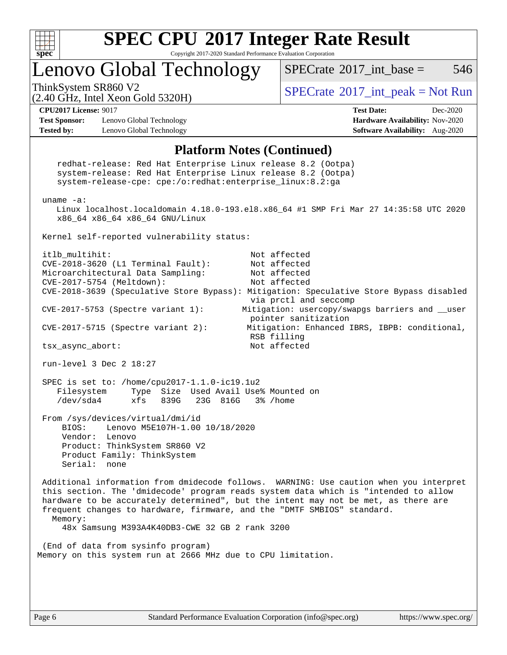

Copyright 2017-2020 Standard Performance Evaluation Corporation

## Lenovo Global Technology

 $SPECTate^{\circ}2017$  int base = 546

(2.40 GHz, Intel Xeon Gold 5320H)

ThinkSystem SR860 V2<br>  $\begin{array}{c} \text{SPECrate} \textcirc 2017\_int\_peak = Not Run \end{array}$  $\begin{array}{c} \text{SPECrate} \textcirc 2017\_int\_peak = Not Run \end{array}$  $\begin{array}{c} \text{SPECrate} \textcirc 2017\_int\_peak = Not Run \end{array}$ 

**[Test Sponsor:](http://www.spec.org/auto/cpu2017/Docs/result-fields.html#TestSponsor)** Lenovo Global Technology **[Hardware Availability:](http://www.spec.org/auto/cpu2017/Docs/result-fields.html#HardwareAvailability)** Nov-2020 **[Tested by:](http://www.spec.org/auto/cpu2017/Docs/result-fields.html#Testedby)** Lenovo Global Technology **[Software Availability:](http://www.spec.org/auto/cpu2017/Docs/result-fields.html#SoftwareAvailability)** Aug-2020

**[CPU2017 License:](http://www.spec.org/auto/cpu2017/Docs/result-fields.html#CPU2017License)** 9017 **[Test Date:](http://www.spec.org/auto/cpu2017/Docs/result-fields.html#TestDate)** Dec-2020

#### **[Platform Notes \(Continued\)](http://www.spec.org/auto/cpu2017/Docs/result-fields.html#PlatformNotes)**

 redhat-release: Red Hat Enterprise Linux release 8.2 (Ootpa) system-release: Red Hat Enterprise Linux release 8.2 (Ootpa) system-release-cpe: cpe:/o:redhat:enterprise\_linux:8.2:ga uname -a: Linux localhost.localdomain 4.18.0-193.el8.x86\_64 #1 SMP Fri Mar 27 14:35:58 UTC 2020 x86\_64 x86\_64 x86\_64 GNU/Linux Kernel self-reported vulnerability status: itlb\_multihit: Not affected CVE-2018-3620 (L1 Terminal Fault): Not affected Microarchitectural Data Sampling: Not affected CVE-2017-5754 (Meltdown): Not affected CVE-2018-3639 (Speculative Store Bypass): Mitigation: Speculative Store Bypass disabled via prctl and seccomp CVE-2017-5753 (Spectre variant 1): Mitigation: usercopy/swapgs barriers and \_\_user pointer sanitization CVE-2017-5715 (Spectre variant 2): Mitigation: Enhanced IBRS, IBPB: conditional, RSB filling tsx\_async\_abort: Not affected run-level 3 Dec 2 18:27 SPEC is set to: /home/cpu2017-1.1.0-ic19.1u2 Filesystem Type Size Used Avail Use% Mounted on<br>
/dev/sda4 xfs 839G 23G 816G 3% /home /dev/sda4 xfs 839G 23G 816G 3% /home From /sys/devices/virtual/dmi/id BIOS: Lenovo M5E107H-1.00 10/18/2020 Vendor: Lenovo Product: ThinkSystem SR860 V2 Product Family: ThinkSystem Serial: none Additional information from dmidecode follows. WARNING: Use caution when you interpret this section. The 'dmidecode' program reads system data which is "intended to allow hardware to be accurately determined", but the intent may not be met, as there are frequent changes to hardware, firmware, and the "DMTF SMBIOS" standard. Memory: 48x Samsung M393A4K40DB3-CWE 32 GB 2 rank 3200 (End of data from sysinfo program) Memory on this system run at 2666 MHz due to CPU limitation.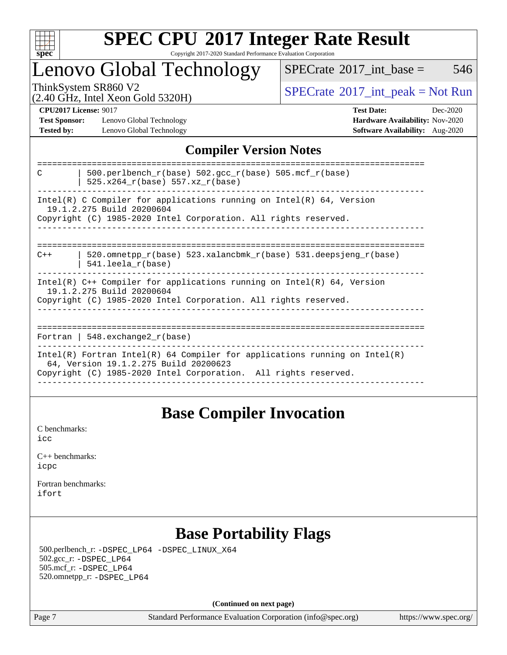

#### **[SPEC CPU](http://www.spec.org/auto/cpu2017/Docs/result-fields.html#SPECCPU2017IntegerRateResult)[2017 Integer Rate Result](http://www.spec.org/auto/cpu2017/Docs/result-fields.html#SPECCPU2017IntegerRateResult)** Copyright 2017-2020 Standard Performance Evaluation Corporation

### Lenovo Global Technology

 $SPECTate$ <sup>®</sup>[2017\\_int\\_base =](http://www.spec.org/auto/cpu2017/Docs/result-fields.html#SPECrate2017intbase) 546

(2.40 GHz, Intel Xeon Gold 5320H)

ThinkSystem SR860 V2<br>  $\begin{array}{c}\n\text{SPECrate} \textcirc 2017\_int\_peak = Not Run \\
\text{SPECrate} \textcirc 2017\_int\_peak = Not Run\n\end{array}$  $\begin{array}{c}\n\text{SPECrate} \textcirc 2017\_int\_peak = Not Run \\
\text{SPECrate} \textcirc 2017\_int\_peak = Not Run\n\end{array}$  $\begin{array}{c}\n\text{SPECrate} \textcirc 2017\_int\_peak = Not Run \\
\text{SPECrate} \textcirc 2017\_int\_peak = Not Run\n\end{array}$ 

**[Test Sponsor:](http://www.spec.org/auto/cpu2017/Docs/result-fields.html#TestSponsor)** Lenovo Global Technology **[Hardware Availability:](http://www.spec.org/auto/cpu2017/Docs/result-fields.html#HardwareAvailability)** Nov-2020 **[Tested by:](http://www.spec.org/auto/cpu2017/Docs/result-fields.html#Testedby)** Lenovo Global Technology **[Software Availability:](http://www.spec.org/auto/cpu2017/Docs/result-fields.html#SoftwareAvailability)** Aug-2020

**[CPU2017 License:](http://www.spec.org/auto/cpu2017/Docs/result-fields.html#CPU2017License)** 9017 **[Test Date:](http://www.spec.org/auto/cpu2017/Docs/result-fields.html#TestDate)** Dec-2020

### **[Compiler Version Notes](http://www.spec.org/auto/cpu2017/Docs/result-fields.html#CompilerVersionNotes)**

| 500.perlbench $r(base)$ 502.qcc $r(base)$ 505.mcf $r(base)$<br>C<br>525.x264 r(base) 557.xz r(base)                                                                                    |
|----------------------------------------------------------------------------------------------------------------------------------------------------------------------------------------|
| $Intel(R)$ C Compiler for applications running on $Intel(R)$ 64, Version<br>19.1.2.275 Build 20200604<br>Copyright (C) 1985-2020 Intel Corporation. All rights reserved.               |
| 520.omnetpp $r(base)$ 523.xalancbmk $r(base)$ 531.deepsjeng $r(base)$<br>$C++$<br>$541.$ leela r(base)                                                                                 |
| $Intel(R)$ C++ Compiler for applications running on $Intel(R)$ 64, Version<br>19.1.2.275 Build 20200604<br>Copyright (C) 1985-2020 Intel Corporation. All rights reserved.             |
| Fortran   548.exchange2 $r(base)$                                                                                                                                                      |
| Intel(R) Fortran Intel(R) 64 Compiler for applications running on Intel(R)<br>64, Version 19.1.2.275 Build 20200623<br>Copyright (C) 1985-2020 Intel Corporation. All rights reserved. |

### **[Base Compiler Invocation](http://www.spec.org/auto/cpu2017/Docs/result-fields.html#BaseCompilerInvocation)**

[C benchmarks](http://www.spec.org/auto/cpu2017/Docs/result-fields.html#Cbenchmarks): [icc](http://www.spec.org/cpu2017/results/res2020q4/cpu2017-20201207-24539.flags.html#user_CCbase_intel_icc_66fc1ee009f7361af1fbd72ca7dcefbb700085f36577c54f309893dd4ec40d12360134090235512931783d35fd58c0460139e722d5067c5574d8eaf2b3e37e92)

| $C_{++}$ benchmarks: |  |
|----------------------|--|
| icpc                 |  |

[Fortran benchmarks](http://www.spec.org/auto/cpu2017/Docs/result-fields.html#Fortranbenchmarks): [ifort](http://www.spec.org/cpu2017/results/res2020q4/cpu2017-20201207-24539.flags.html#user_FCbase_intel_ifort_8111460550e3ca792625aed983ce982f94888b8b503583aa7ba2b8303487b4d8a21a13e7191a45c5fd58ff318f48f9492884d4413fa793fd88dd292cad7027ca)

### **[Base Portability Flags](http://www.spec.org/auto/cpu2017/Docs/result-fields.html#BasePortabilityFlags)**

 500.perlbench\_r: [-DSPEC\\_LP64](http://www.spec.org/cpu2017/results/res2020q4/cpu2017-20201207-24539.flags.html#b500.perlbench_r_basePORTABILITY_DSPEC_LP64) [-DSPEC\\_LINUX\\_X64](http://www.spec.org/cpu2017/results/res2020q4/cpu2017-20201207-24539.flags.html#b500.perlbench_r_baseCPORTABILITY_DSPEC_LINUX_X64) 502.gcc\_r: [-DSPEC\\_LP64](http://www.spec.org/cpu2017/results/res2020q4/cpu2017-20201207-24539.flags.html#suite_basePORTABILITY502_gcc_r_DSPEC_LP64) 505.mcf\_r: [-DSPEC\\_LP64](http://www.spec.org/cpu2017/results/res2020q4/cpu2017-20201207-24539.flags.html#suite_basePORTABILITY505_mcf_r_DSPEC_LP64) 520.omnetpp\_r: [-DSPEC\\_LP64](http://www.spec.org/cpu2017/results/res2020q4/cpu2017-20201207-24539.flags.html#suite_basePORTABILITY520_omnetpp_r_DSPEC_LP64)

**(Continued on next page)**

Page 7 Standard Performance Evaluation Corporation [\(info@spec.org\)](mailto:info@spec.org) <https://www.spec.org/>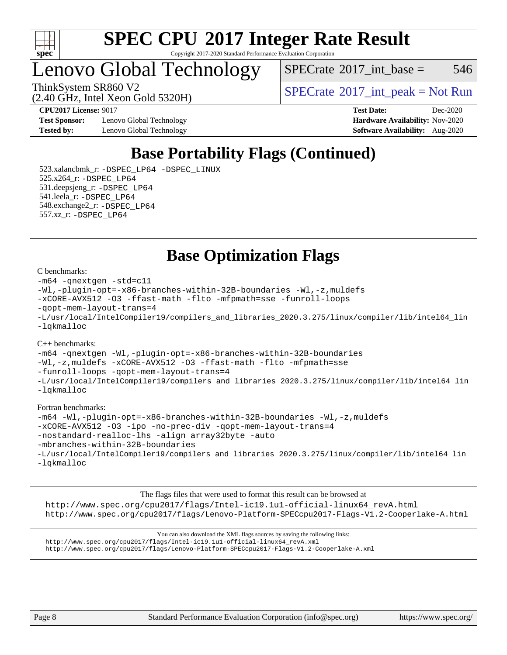

Copyright 2017-2020 Standard Performance Evaluation Corporation

Lenovo Global Technology

 $SPECTate@2017$ \_int\_base = 546

(2.40 GHz, Intel Xeon Gold 5320H)

ThinkSystem SR860 V2<br>  $\begin{array}{c} \text{SPECTR} \setminus \text{SOR} \end{array}$  [SPECrate](http://www.spec.org/auto/cpu2017/Docs/result-fields.html#SPECrate2017intpeak)®[2017\\_int\\_peak = N](http://www.spec.org/auto/cpu2017/Docs/result-fields.html#SPECrate2017intpeak)ot Run

**[Test Sponsor:](http://www.spec.org/auto/cpu2017/Docs/result-fields.html#TestSponsor)** Lenovo Global Technology **[Hardware Availability:](http://www.spec.org/auto/cpu2017/Docs/result-fields.html#HardwareAvailability)** Nov-2020 **[Tested by:](http://www.spec.org/auto/cpu2017/Docs/result-fields.html#Testedby)** Lenovo Global Technology **[Software Availability:](http://www.spec.org/auto/cpu2017/Docs/result-fields.html#SoftwareAvailability)** Aug-2020

**[CPU2017 License:](http://www.spec.org/auto/cpu2017/Docs/result-fields.html#CPU2017License)** 9017 **[Test Date:](http://www.spec.org/auto/cpu2017/Docs/result-fields.html#TestDate)** Dec-2020

### **[Base Portability Flags \(Continued\)](http://www.spec.org/auto/cpu2017/Docs/result-fields.html#BasePortabilityFlags)**

 523.xalancbmk\_r: [-DSPEC\\_LP64](http://www.spec.org/cpu2017/results/res2020q4/cpu2017-20201207-24539.flags.html#suite_basePORTABILITY523_xalancbmk_r_DSPEC_LP64) [-DSPEC\\_LINUX](http://www.spec.org/cpu2017/results/res2020q4/cpu2017-20201207-24539.flags.html#b523.xalancbmk_r_baseCXXPORTABILITY_DSPEC_LINUX) 525.x264\_r: [-DSPEC\\_LP64](http://www.spec.org/cpu2017/results/res2020q4/cpu2017-20201207-24539.flags.html#suite_basePORTABILITY525_x264_r_DSPEC_LP64) 531.deepsjeng\_r: [-DSPEC\\_LP64](http://www.spec.org/cpu2017/results/res2020q4/cpu2017-20201207-24539.flags.html#suite_basePORTABILITY531_deepsjeng_r_DSPEC_LP64) 541.leela\_r: [-DSPEC\\_LP64](http://www.spec.org/cpu2017/results/res2020q4/cpu2017-20201207-24539.flags.html#suite_basePORTABILITY541_leela_r_DSPEC_LP64) 548.exchange2\_r: [-DSPEC\\_LP64](http://www.spec.org/cpu2017/results/res2020q4/cpu2017-20201207-24539.flags.html#suite_basePORTABILITY548_exchange2_r_DSPEC_LP64) 557.xz\_r: [-DSPEC\\_LP64](http://www.spec.org/cpu2017/results/res2020q4/cpu2017-20201207-24539.flags.html#suite_basePORTABILITY557_xz_r_DSPEC_LP64)

**[Base Optimization Flags](http://www.spec.org/auto/cpu2017/Docs/result-fields.html#BaseOptimizationFlags)**

#### [C benchmarks](http://www.spec.org/auto/cpu2017/Docs/result-fields.html#Cbenchmarks):

```
-m64 -qnextgen -std=c11
-Wl,-plugin-opt=-x86-branches-within-32B-boundaries -Wl,-z,muldefs
-xCORE-AVX512 -O3 -ffast-math -flto -mfpmath=sse -funroll-loops
-qopt-mem-layout-trans=4
-L/usr/local/IntelCompiler19/compilers_and_libraries_2020.3.275/linux/compiler/lib/intel64_lin
-lqkmalloc
```
#### [C++ benchmarks](http://www.spec.org/auto/cpu2017/Docs/result-fields.html#CXXbenchmarks):

[-m64](http://www.spec.org/cpu2017/results/res2020q4/cpu2017-20201207-24539.flags.html#user_CXXbase_m64-icc) [-qnextgen](http://www.spec.org/cpu2017/results/res2020q4/cpu2017-20201207-24539.flags.html#user_CXXbase_f-qnextgen) [-Wl,-plugin-opt=-x86-branches-within-32B-boundaries](http://www.spec.org/cpu2017/results/res2020q4/cpu2017-20201207-24539.flags.html#user_CXXbase_f-x86-branches-within-32B-boundaries_0098b4e4317ae60947b7b728078a624952a08ac37a3c797dfb4ffeb399e0c61a9dd0f2f44ce917e9361fb9076ccb15e7824594512dd315205382d84209e912f3) [-Wl,-z,muldefs](http://www.spec.org/cpu2017/results/res2020q4/cpu2017-20201207-24539.flags.html#user_CXXbase_link_force_multiple1_b4cbdb97b34bdee9ceefcfe54f4c8ea74255f0b02a4b23e853cdb0e18eb4525ac79b5a88067c842dd0ee6996c24547a27a4b99331201badda8798ef8a743f577) [-xCORE-AVX512](http://www.spec.org/cpu2017/results/res2020q4/cpu2017-20201207-24539.flags.html#user_CXXbase_f-xCORE-AVX512) [-O3](http://www.spec.org/cpu2017/results/res2020q4/cpu2017-20201207-24539.flags.html#user_CXXbase_f-O3) [-ffast-math](http://www.spec.org/cpu2017/results/res2020q4/cpu2017-20201207-24539.flags.html#user_CXXbase_f-ffast-math) [-flto](http://www.spec.org/cpu2017/results/res2020q4/cpu2017-20201207-24539.flags.html#user_CXXbase_f-flto) [-mfpmath=sse](http://www.spec.org/cpu2017/results/res2020q4/cpu2017-20201207-24539.flags.html#user_CXXbase_f-mfpmath_70eb8fac26bde974f8ab713bc9086c5621c0b8d2f6c86f38af0bd7062540daf19db5f3a066d8c6684be05d84c9b6322eb3b5be6619d967835195b93d6c02afa1) [-funroll-loops](http://www.spec.org/cpu2017/results/res2020q4/cpu2017-20201207-24539.flags.html#user_CXXbase_f-funroll-loops) [-qopt-mem-layout-trans=4](http://www.spec.org/cpu2017/results/res2020q4/cpu2017-20201207-24539.flags.html#user_CXXbase_f-qopt-mem-layout-trans_fa39e755916c150a61361b7846f310bcdf6f04e385ef281cadf3647acec3f0ae266d1a1d22d972a7087a248fd4e6ca390a3634700869573d231a252c784941a8) [-L/usr/local/IntelCompiler19/compilers\\_and\\_libraries\\_2020.3.275/linux/compiler/lib/intel64\\_lin](http://www.spec.org/cpu2017/results/res2020q4/cpu2017-20201207-24539.flags.html#user_CXXbase_linkpath_6eb3b1b8be403820338b5b82e7a1c217a861a8962ac718a6253be1483b50620487664a39a847caf560d84a6b8bab7cca33d9f414525a12ede1e9473db34a3d08) [-lqkmalloc](http://www.spec.org/cpu2017/results/res2020q4/cpu2017-20201207-24539.flags.html#user_CXXbase_qkmalloc_link_lib_79a818439969f771c6bc311cfd333c00fc099dad35c030f5aab9dda831713d2015205805422f83de8875488a2991c0a156aaa600e1f9138f8fc37004abc96dc5)

#### [Fortran benchmarks:](http://www.spec.org/auto/cpu2017/Docs/result-fields.html#Fortranbenchmarks)

```
-m64 -Wl,-plugin-opt=-x86-branches-within-32B-boundaries -Wl,-z,muldefs
-xCORE-AVX512 -O3 -ipo -no-prec-div -qopt-mem-layout-trans=4
-nostandard-realloc-lhs -align array32byte -auto
-mbranches-within-32B-boundaries
-L/usr/local/IntelCompiler19/compilers_and_libraries_2020.3.275/linux/compiler/lib/intel64_lin
-lqkmalloc
```
[The flags files that were used to format this result can be browsed at](tmsearch) [http://www.spec.org/cpu2017/flags/Intel-ic19.1u1-official-linux64\\_revA.html](http://www.spec.org/cpu2017/flags/Intel-ic19.1u1-official-linux64_revA.html) <http://www.spec.org/cpu2017/flags/Lenovo-Platform-SPECcpu2017-Flags-V1.2-Cooperlake-A.html>

[You can also download the XML flags sources by saving the following links:](tmsearch) [http://www.spec.org/cpu2017/flags/Intel-ic19.1u1-official-linux64\\_revA.xml](http://www.spec.org/cpu2017/flags/Intel-ic19.1u1-official-linux64_revA.xml) <http://www.spec.org/cpu2017/flags/Lenovo-Platform-SPECcpu2017-Flags-V1.2-Cooperlake-A.xml>